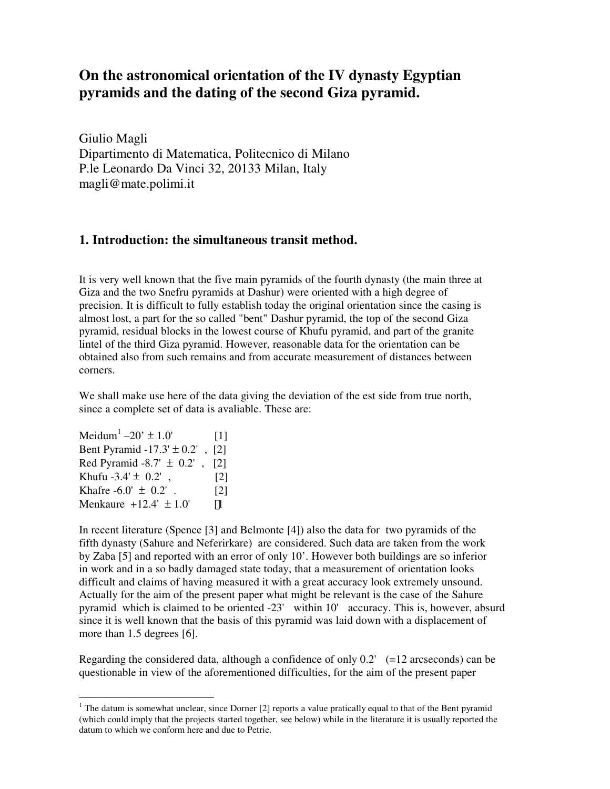# **On the astronomical orientation of the IV dynasty Egyptian pyramids and the dating of the second Giza pyramid.**

Giulio Magli Dipartimento di Matematica, Politecnico di Milano P.le Leonardo Da Vinci 32, 20133 Milan, Italy magli@mate.polimi.it

# **1. Introduction: the simultaneous transit method.**

It is very well known that the five main pyramids of the fourth dynasty (the main three at Giza and the two Snefru pyramids at Dashur) were oriented with a high degree of precision. It is difficult to fully establish today the original orientation since the casing is almost lost, a part for the so called "bent" Dashur pyramid, the top of the second Giza pyramid, residual blocks in the lowest course of Khufu pyramid, and part of the granite lintel of the third Giza pyramid. However, reasonable data for the orientation can be obtained also from such remains and from accurate measurement of distances between corners.

We shall make use here of the data giving the deviation of the est side from true north, since a complete set of data is avaliable. These are:

Meidum<sup>1</sup>  $-20' \pm 1.0'$  [1] Bent Pyramid  $-17.3' \pm 0.2'$ , [2] Red Pyramid -8.7'  $\pm$  0.2', [2] Khufu -3.4'  $\pm$  0.2', [2] Khafre  $-6.0' \pm 0.2'$ . [2] Menkaure  $+12.4' \pm 1.0'$   $\Box$ 

In recent literature (Spence [3] and Belmonte [4]) also the data for two pyramids of the fifth dynasty (Sahure and Neferirkare) are considered. Such data are taken from the work by Zaba [5] and reported with an error of only 10'. However both buildings are so inferior in work and in a so badly damaged state today, that a measurement of orientation looks difficult and claims of having measured it with a great accuracy look extremely unsound. Actually for the aim of the present paper what might be relevant is the case of the Sahure pyramid which is claimed to be oriented -23' within 10' accuracy. This is, however, absurd since it is well known that the basis of this pyramid was laid down with a displacement of more than 1.5 degrees [6].

Regarding the considered data, although a confidence of only  $0.2'$  (=12 arcseconds) can be questionable in view of the aforementioned difficulties, for the aim of the present paper

The datum is somewhat unclear, since Dorner [2] reports a value pratically equal to that of the Bent pyramid<br><sup>1</sup> The datum is somewhat unclear, since Dorner [2] reports a value pratically equal to that of the Bent pyramid (which could imply that the projects started together, see below) while in the literature it is usually reported the datum to which we conform here and due to Petrie.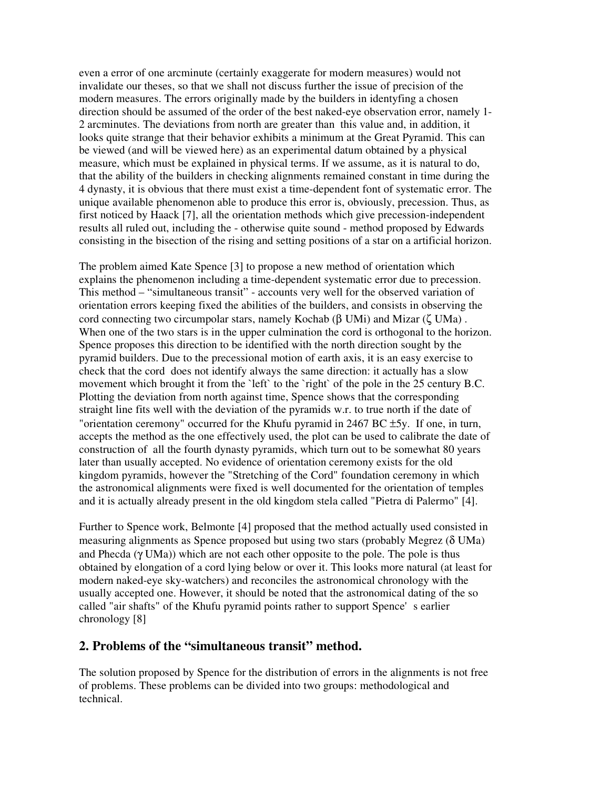even a error of one arcminute (certainly exaggerate for modern measures) would not invalidate our theses, so that we shall not discuss further the issue of precision of the modern measures. The errors originally made by the builders in identyfing a chosen direction should be assumed of the order of the best naked-eye observation error, namely 1- 2 arcminutes. The deviations from north are greater than this value and, in addition, it looks quite strange that their behavior exhibits a minimum at the Great Pyramid. This can be viewed (and will be viewed here) as an experimental datum obtained by a physical measure, which must be explained in physical terms. If we assume, as it is natural to do, that the ability of the builders in checking alignments remained constant in time during the 4 dynasty, it is obvious that there must exist a time-dependent font of systematic error. The unique available phenomenon able to produce this error is, obviously, precession. Thus, as first noticed by Haack [7], all the orientation methods which give precession-independent results all ruled out, including the - otherwise quite sound - method proposed by Edwards consisting in the bisection of the rising and setting positions of a star on a artificial horizon.

The problem aimed Kate Spence [3] to propose a new method of orientation which explains the phenomenon including a time-dependent systematic error due to precession. This method – "simultaneous transit" - accounts very well for the observed variation of orientation errors keeping fixed the abilities of the builders, and consists in observing the cord connecting two circumpolar stars, namely Kochab (β UMi) and Mizar (ζ UMa). When one of the two stars is in the upper culmination the cord is orthogonal to the horizon. Spence proposes this direction to be identified with the north direction sought by the pyramid builders. Due to the precessional motion of earth axis, it is an easy exercise to check that the cord does not identify always the same direction: it actually has a slow movement which brought it from the 'left' to the 'right' of the pole in the 25 century B.C. Plotting the deviation from north against time, Spence shows that the corresponding straight line fits well with the deviation of the pyramids w.r. to true north if the date of "orientation ceremony" occurred for the Khufu pyramid in 2467 BC ±5y. If one, in turn, accepts the method as the one effectively used, the plot can be used to calibrate the date of construction of all the fourth dynasty pyramids, which turn out to be somewhat 80 years later than usually accepted. No evidence of orientation ceremony exists for the old kingdom pyramids, however the "Stretching of the Cord" foundation ceremony in which the astronomical alignments were fixed is well documented for the orientation of temples and it is actually already present in the old kingdom stela called "Pietra di Palermo" [4].

Further to Spence work, Belmonte [4] proposed that the method actually used consisted in measuring alignments as Spence proposed but using two stars (probably Megrez (δ UMa) and Phecda (γ UMa)) which are not each other opposite to the pole. The pole is thus obtained by elongation of a cord lying below or over it. This looks more natural (at least for modern naked-eye sky-watchers) and reconciles the astronomical chronology with the usually accepted one. However, it should be noted that the astronomical dating of the so called "air shafts" of the Khufu pyramid points rather to support Spence's earlier chronology [8]

### **2. Problems of the "simultaneous transit" method.**

The solution proposed by Spence for the distribution of errors in the alignments is not free of problems. These problems can be divided into two groups: methodological and technical.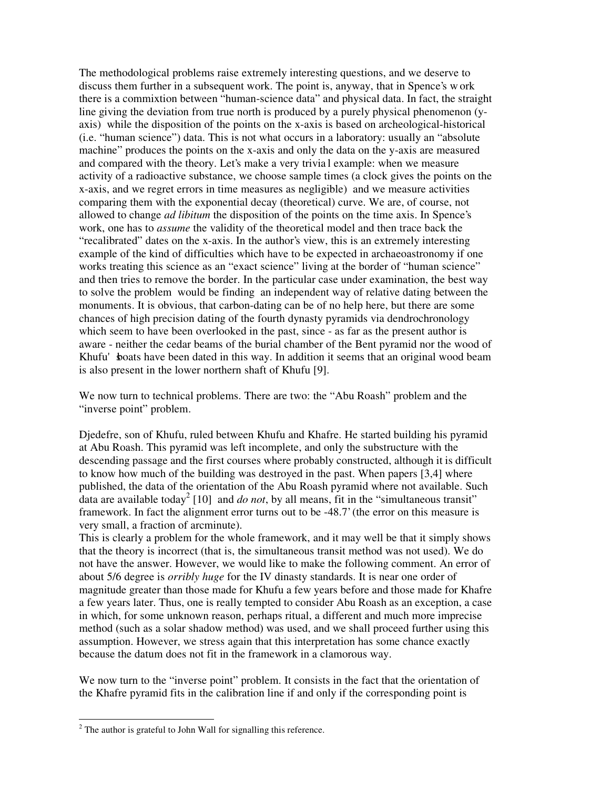The methodological problems raise extremely interesting questions, and we deserve to discuss them further in a subsequent work. The point is, anyway, that in Spence's w ork there is a commixtion between "human-science data" and physical data. In fact, the straight line giving the deviation from true north is produced by a purely physical phenomenon (yaxis) while the disposition of the points on the x-axis is based on archeological-historical (i.e. "human science") data. This is not what occurs in a laboratory: usually an "absolute machine" produces the points on the x-axis and only the data on the y-axis are measured and compared with the theory. Let's make a very trivia l example: when we measure activity of a radioactive substance, we choose sample times (a clock gives the points on the x-axis, and we regret errors in time measures as negligible) and we measure activities comparing them with the exponential decay (theoretical) curve. We are, of course, not allowed to change *ad libitum* the disposition of the points on the time axis. In Spence's work, one has to *assume* the validity of the theoretical model and then trace back the "recalibrated" dates on the x-axis. In the author's view, this is an extremely interesting example of the kind of difficulties which have to be expected in archaeoastronomy if one works treating this science as an "exact science" living at the border of "human science" and then tries to remove the border. In the particular case under examination, the best way to solve the problem would be finding an independent way of relative dating between the monuments. It is obvious, that carbon-dating can be of no help here, but there are some chances of high precision dating of the fourth dynasty pyramids via dendrochronology which seem to have been overlooked in the past, since - as far as the present author is aware - neither the cedar beams of the burial chamber of the Bent pyramid nor the wood of Khufu' shoats have been dated in this way. In addition it seems that an original wood beam is also present in the lower northern shaft of Khufu [9].

We now turn to technical problems. There are two: the "Abu Roash" problem and the "inverse point" problem.

Djedefre, son of Khufu, ruled between Khufu and Khafre. He started building his pyramid at Abu Roash. This pyramid was left incomplete, and only the substructure with the descending passage and the first courses where probably constructed, although it is difficult to know how much of the building was destroyed in the past. When papers [3,4] where published, the data of the orientation of the Abu Roash pyramid where not available. Such data are available today 2 [10] and *do not*, by all means, fit in the "simultaneous transit" framework. In fact the alignment error turns out to be -48.7' (the error on this measure is very small, a fraction of arcminute).

This is clearly a problem for the whole framework, and it may well be that it simply shows that the theory is incorrect (that is, the simultaneous transit method was not used). We do not have the answer. However, we would like to make the following comment. An error of about 5/6 degree is *orribly huge* for the IV dinasty standards. It is near one order of magnitude greater than those made for Khufu a few years before and those made for Khafre a few years later. Thus, one is really tempted to consider Abu Roash as an exception, a case in which, for some unknown reason, perhaps ritual, a different and much more imprecise method (such as a solar shadow method) was used, and we shall proceed further using this assumption. However, we stress again that this interpretation has some chance exactly because the datum does not fit in the framework in a clamorous way.

We now turn to the "inverse point" problem. It consists in the fact that the orientation of the Khafre pyramid fits in the calibration line if and only if the corresponding point is

<sup>-</sup> $2$  The author is grateful to John Wall for signalling this reference.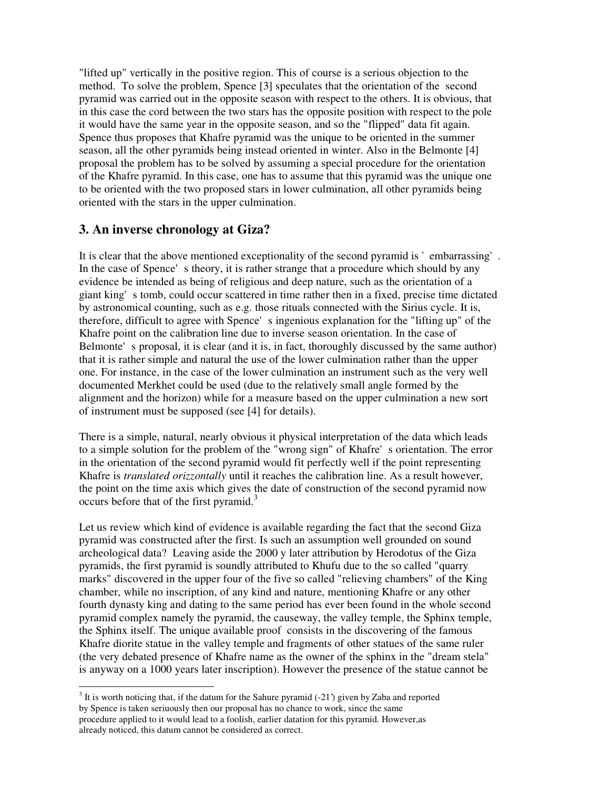"lifted up" vertically in the positive region. This of course is a serious objection to the method. To solve the problem, Spence [3] speculates that the orientation of the second pyramid was carried out in the opposite season with respect to the others. It is obvious, that in this case the cord between the two stars has the opposite position with respect to the pole it would have the same year in the opposite season, and so the "flipped" data fit again. Spence thus proposes that Khafre pyramid was the unique to be oriented in the summer season, all the other pyramids being instead oriented in winter. Also in the Belmonte [4] proposal the problem has to be solved by assuming a special procedure for the orientation of the Khafre pyramid. In this case, one has to assume that this pyramid was the unique one to be oriented with the two proposed stars in lower culmination, all other pyramids being oriented with the stars in the upper culmination.

# **3. An inverse chronology at Giza?**

It is clear that the above mentioned exceptionality of the second pyramid is  $\degree$  embarrassing  $\degree$ . In the case of Spence's theory, it is rather strange that a procedure which should by any evidence be intended as being of religious and deep nature, such as the orientation of a giant king's tomb, could occur scattered in time rather then in a fixed, precise time dictated by astronomical counting, such as e.g. those rituals connected with the Sirius cycle. It is, therefore, difficult to agree with Spence's ingenious explanation for the "lifting up" of the Khafre point on the calibration line due to inverse season orientation. In the case of Belmonte's proposal, it is clear (and it is, in fact, thoroughly discussed by the same author) that it is rather simple and natural the use of the lower culmination rather than the upper one. For instance, in the case of the lower culmination an instrument such as the very well documented Merkhet could be used (due to the relatively small angle formed by the alignment and the horizon) while for a measure based on the upper culmination a new sort of instrument must be supposed (see [4] for details).

There is a simple, natural, nearly obvious it physical interpretation of the data which leads to a simple solution for the problem of the "wrong sign" of Khafre's orientation. The error in the orientation of the second pyramid would fit perfectly well if the point representing Khafre is *translated orizzontally* until it reaches the calibration line. As a result however, the point on the time axis which gives the date of construction of the second pyramid now occurs before that of the first pyramid.<sup>3</sup>

Let us review which kind of evidence is available regarding the fact that the second Giza pyramid was constructed after the first. Is such an assumption well grounded on sound archeological data? Leaving aside the 2000 y later attribution by Herodotus of the Giza pyramids, the first pyramid is soundly attributed to Khufu due to the so called "quarry marks" discovered in the upper four of the five so called "relieving chambers" of the King chamber, while no inscription, of any kind and nature, mentioning Khafre or any other fourth dynasty king and dating to the same period has ever been found in the whole second pyramid complex namely the pyramid, the causeway, the valley temple, the Sphinx temple, the Sphinx itself. The unique available proof consists in the discovering of the famous Khafre diorite statue in the valley temple and fragments of other statues of the same ruler (the very debated presence of Khafre name as the owner of the sphinx in the "dream stela" is anyway on a 1000 years later inscription). However the presence of the statue cannot be

-

 $3$  It is worth noticing that, if the datum for the Sahure pyramid (-21') given by Zaba and reported by Spence is taken seriuously then our proposal has no chance to work, since the same procedure applied to it would lead to a foolish, earlier datation for this pyramid. However,as already noticed, this datum cannot be considered as correct.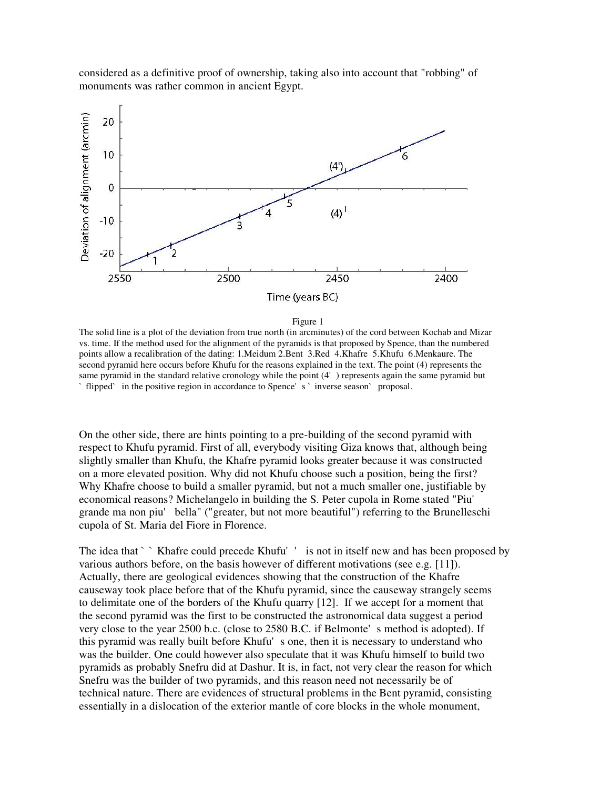considered as a definitive proof of ownership, taking also into account that "robbing" of monuments was rather common in ancient Egypt.



#### Figure 1

The solid line is a plot of the deviation from true north (in arcminutes) of the cord between Kochab and Mizar vs. time. If the method used for the alignment of the pyramids is that proposed by Spence, than the numbered points allow a recalibration of the dating: 1.Meidum 2.Bent 3.Red 4.Khafre 5.Khufu 6.Menkaure. The second pyramid here occurs before Khufu for the reasons explained in the text. The point (4) represents the same pyramid in the standard relative cronology while the point (4') represents again the same pyramid but `flipped` in the positive region in accordance to Spence's `inverse season` proposal.

On the other side, there are hints pointing to a pre-building of the second pyramid with respect to Khufu pyramid. First of all, everybody visiting Giza knows that, although being slightly smaller than Khufu, the Khafre pyramid looks greater because it was constructed on a more elevated position. Why did not Khufu choose such a position, being the first? Why Khafre choose to build a smaller pyramid, but not a much smaller one, justifiable by economical reasons? Michelangelo in building the S. Peter cupola in Rome stated "Piu' grande ma non piu' bella" ("greater, but not more beautiful") referring to the Brunelleschi cupola of St. Maria del Fiore in Florence.

The idea that `` Khafre could precede Khufu'' is not in itself new and has been proposed by various authors before, on the basis however of different motivations (see e.g. [11]). Actually, there are geological evidences showing that the construction of the Khafre causeway took place before that of the Khufu pyramid, since the causeway strangely seems to delimitate one of the borders of the Khufu quarry [12]. If we accept for a moment that the second pyramid was the first to be constructed the astronomical data suggest a period very close to the year 2500 b.c. (close to 2580 B.C. if Belmonte's method is adopted). If this pyramid was really built before Khufu's one, then it is necessary to understand who was the builder. One could however also speculate that it was Khufu himself to build two pyramids as probably Snefru did at Dashur. It is, in fact, not very clear the reason for which Snefru was the builder of two pyramids, and this reason need not necessarily be of technical nature. There are evidences of structural problems in the Bent pyramid, consisting essentially in a dislocation of the exterior mantle of core blocks in the whole monument,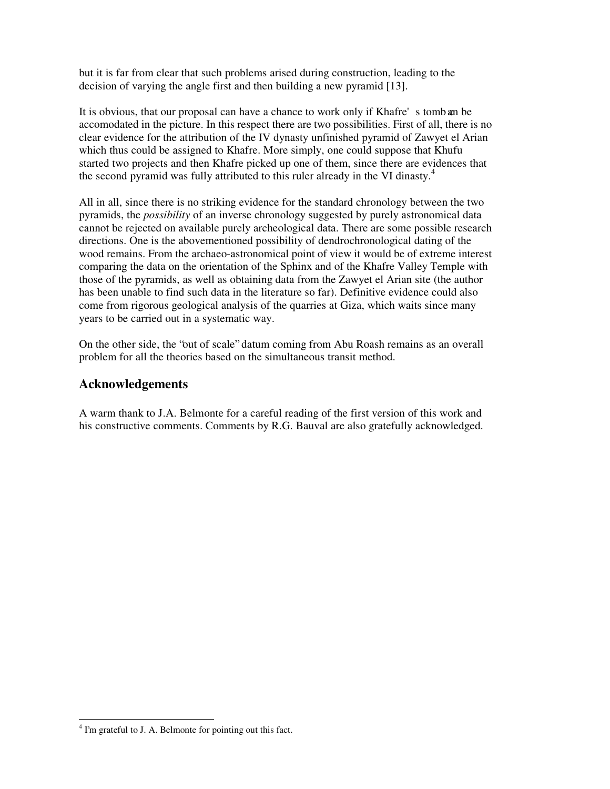but it is far from clear that such problems arised during construction, leading to the decision of varying the angle first and then building a new pyramid [13].

It is obvious, that our proposal can have a chance to work only if Khafre's tomb an be accomodated in the picture. In this respect there are two possibilities. First of all, there is no clear evidence for the attribution of the IV dynasty unfinished pyramid of Zawyet el Arian which thus could be assigned to Khafre. More simply, one could suppose that Khufu started two projects and then Khafre picked up one of them, since there are evidences that the second pyramid was fully attributed to this ruler already in the VI dinasty.<sup>4</sup>

All in all, since there is no striking evidence for the standard chronology between the two pyramids, the *possibility* of an inverse chronology suggested by purely astronomical data cannot be rejected on available purely archeological data. There are some possible research directions. One is the abovementioned possibility of dendrochronological dating of the wood remains. From the archaeo-astronomical point of view it would be of extreme interest comparing the data on the orientation of the Sphinx and of the Khafre Valley Temple with those of the pyramids, as well as obtaining data from the Zawyet el Arian site (the author has been unable to find such data in the literature so far). Definitive evidence could also come from rigorous geological analysis of the quarries at Giza, which waits since many years to be carried out in a systematic way.

On the other side, the "out of scale" datum coming from Abu Roash remains as an overall problem for all the theories based on the simultaneous transit method.

## **Acknowledgements**

A warm thank to J.A. Belmonte for a careful reading of the first version of this work and his constructive comments. Comments by R.G. Bauval are also gratefully acknowledged.

<sup>&</sup>lt;sup>4</sup> I'm grateful to J. A. Belmonte for pointing out this fact.